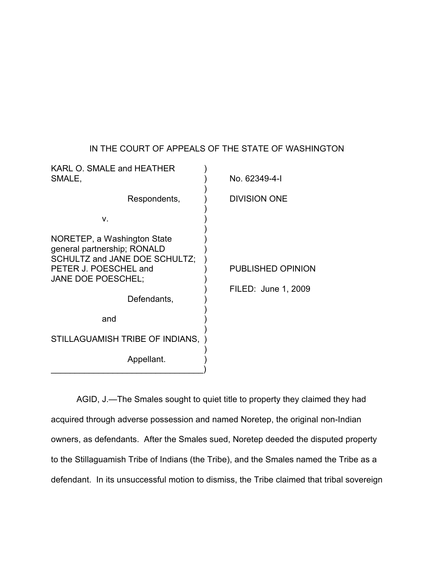## IN THE COURT OF APPEALS OF THE STATE OF WASHINGTON

| No. 62349-4-1                                   |
|-------------------------------------------------|
|                                                 |
| <b>DIVISION ONE</b>                             |
|                                                 |
| <b>PUBLISHED OPINION</b><br>FILED: June 1, 2009 |
|                                                 |
|                                                 |
|                                                 |
|                                                 |

AGID, J.—The Smales sought to quiet title to property they claimed they had acquired through adverse possession and named Noretep, the original non-Indian owners, as defendants. After the Smales sued, Noretep deeded the disputed property to the Stillaguamish Tribe of Indians (the Tribe), and the Smales named the Tribe as a defendant. In its unsuccessful motion to dismiss, the Tribe claimed that tribal sovereign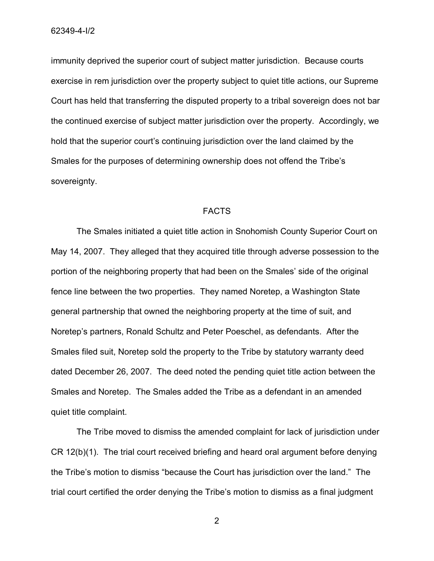immunity deprived the superior court of subject matter jurisdiction. Because courts exercise in rem jurisdiction over the property subject to quiet title actions, our Supreme Court has held that transferring the disputed property to a tribal sovereign does not bar the continued exercise of subject matter jurisdiction over the property. Accordingly, we hold that the superior court's continuing jurisdiction over the land claimed by the Smales for the purposes of determining ownership does not offend the Tribe's sovereignty.

## FACTS

The Smales initiated a quiet title action in Snohomish County Superior Court on May 14, 2007. They alleged that they acquired title through adverse possession to the portion of the neighboring property that had been on the Smales' side of the original fence line between the two properties. They named Noretep, a Washington State general partnership that owned the neighboring property at the time of suit, and Noretep's partners, Ronald Schultz and Peter Poeschel, as defendants. After the Smales filed suit, Noretep sold the property to the Tribe by statutory warranty deed dated December 26, 2007. The deed noted the pending quiet title action between the Smales and Noretep. The Smales added the Tribe as a defendant in an amended quiet title complaint.

The Tribe moved to dismiss the amended complaint for lack of jurisdiction under CR 12(b)(1). The trial court received briefing and heard oral argument before denying the Tribe's motion to dismiss "because the Court has jurisdiction over the land." The trial court certified the order denying the Tribe's motion to dismiss as a final judgment

2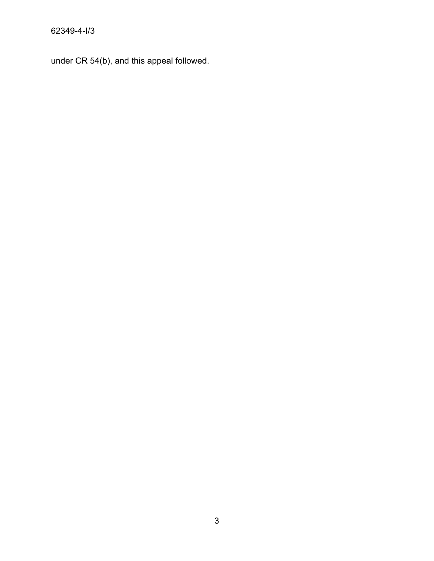under CR 54(b), and this appeal followed.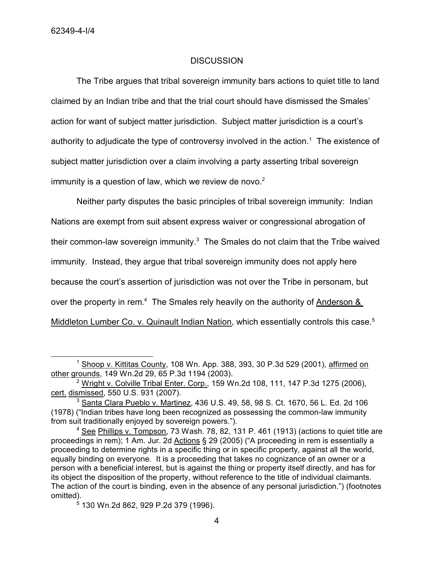## **DISCUSSION**

The Tribe argues that tribal sovereign immunity bars actions to quiet title to land claimed by an Indian tribe and that the trial court should have dismissed the Smales' action for want of subject matter jurisdiction. Subject matter jurisdiction is a court's authority to adjudicate the type of controversy involved in the action.<sup>1</sup> The existence of subject matter jurisdiction over a claim involving a party asserting tribal sovereign immunity is a question of law, which we review de novo. $2<sup>2</sup>$ 

Neither party disputes the basic principles of tribal sovereign immunity: Indian Nations are exempt from suit absent express waiver or congressional abrogation of their common-law sovereign immunity.<sup>3</sup> The Smales do not claim that the Tribe waived immunity. Instead, they argue that tribal sovereign immunity does not apply here because the court's assertion of jurisdiction was not over the Tribe in personam, but over the property in rem.<sup>4</sup> The Smales rely heavily on the authority of Anderson & Middleton Lumber Co. v. Quinault Indian Nation, which essentially controls this case.<sup>5</sup>

<sup>&</sup>lt;sup>1</sup> Shoop v. Kittitas County, 108 Wn. App. 388, 393, 30 P.3d 529 (2001), affirmed on other grounds, 149 Wn.2d 29, 65 P.3d 1194 (2003).

<sup>&</sup>lt;sup>2</sup> Wright v. Colville Tribal Enter. Corp., 159 Wn.2d 108, 111, 147 P.3d 1275 (2006), cert. dismissed, 550 U.S. 931 (2007).

 $^3$  Santa Clara Pueblo v. Martinez, 436 U.S. 49, 58, 98 S. Ct. 1670, 56 L. Ed. 2d 106 (1978) ("Indian tribes have long been recognized as possessing the common-law immunity from suit traditionally enjoyed by sovereign powers.").

 $4$  See Phillips v. Tompson, 73 Wash. 78, 82, 131 P. 461 (1913) (actions to quiet title are proceedings in rem); 1 Am. Jur. 2d Actions § 29 (2005) ("A proceeding in rem is essentially a proceeding to determine rights in a specific thing or in specific property, against all the world, equally binding on everyone. It is a proceeding that takes no cognizance of an owner or a person with a beneficial interest, but is against the thing or property itself directly, and has for its object the disposition of the property, without reference to the title of individual claimants. The action of the court is binding, even in the absence of any personal jurisdiction.") (footnotes omitted).

<sup>5</sup> 130 Wn.2d 862, 929 P.2d 379 (1996).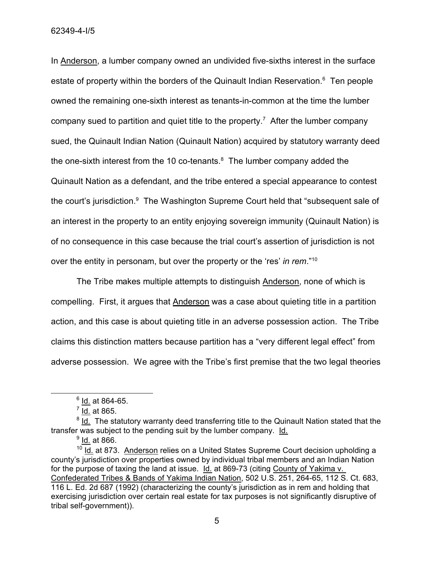62349-4-I/5

In Anderson, a lumber company owned an undivided five-sixths interest in the surface estate of property within the borders of the Quinault Indian Reservation.<sup>6</sup> Ten people owned the remaining one-sixth interest as tenants-in-common at the time the lumber company sued to partition and quiet title to the property.<sup>7</sup> After the lumber company sued, the Quinault Indian Nation (Quinault Nation) acquired by statutory warranty deed the one-sixth interest from the 10 co-tenants. $8$  The lumber company added the Quinault Nation as a defendant, and the tribe entered a special appearance to contest the court's jurisdiction.<sup>9</sup> The Washington Supreme Court held that "subsequent sale of an interest in the property to an entity enjoying sovereign immunity (Quinault Nation) is of no consequence in this case because the trial court's assertion of jurisdiction is not over the entity in personam, but over the property or the 'res' *in rem*." 10

The Tribe makes multiple attempts to distinguish Anderson, none of which is compelling. First, it argues that Anderson was a case about quieting title in a partition action, and this case is about quieting title in an adverse possession action. The Tribe claims this distinction matters because partition has a "very different legal effect" from adverse possession. We agree with the Tribe's first premise that the two legal theories

<sup>&</sup>lt;sup>6</sup> <u>Id.</u> at 864-65.

<sup>&</sup>lt;sup>7</sup> l<u>d.</u> at 865.

<sup>&</sup>lt;sup>8</sup> Id. The statutory warranty deed transferring title to the Quinault Nation stated that the transfer was subject to the pending suit by the lumber company. Id.

<sup>&</sup>lt;sup>9</sup> <u>ld.</u> at 866.

 $10$  Id. at 873. Anderson relies on a United States Supreme Court decision upholding a county's jurisdiction over properties owned by individual tribal members and an Indian Nation for the purpose of taxing the land at issue. Id. at 869-73 (citing County of Yakima v. Confederated Tribes & Bands of Yakima Indian Nation, 502 U.S. 251, 264-65, 112 S. Ct. 683, 116 L. Ed. 2d 687 (1992) (characterizing the county's jurisdiction as in rem and holding that exercising jurisdiction over certain real estate for tax purposes is not significantly disruptive of tribal self-government)).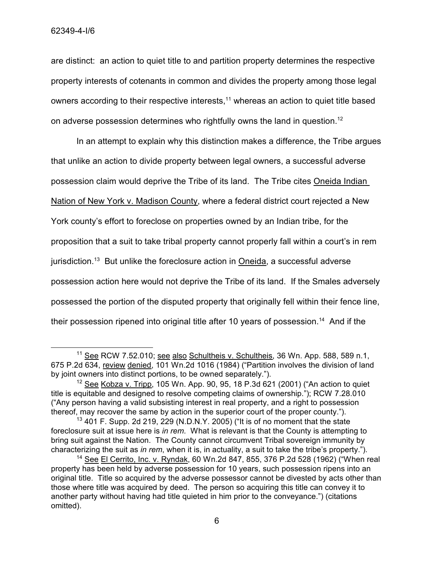are distinct: an action to quiet title to and partition property determines the respective property interests of cotenants in common and divides the property among those legal owners according to their respective interests, <sup>11</sup> whereas an action to quiet title based on adverse possession determines who rightfully owns the land in question.<sup>12</sup>

In an attempt to explain why this distinction makes a difference, the Tribe argues that unlike an action to divide property between legal owners, a successful adverse possession claim would deprive the Tribe of its land. The Tribe cites Oneida Indian Nation of New York v. Madison County, where a federal district court rejected a New York county's effort to foreclose on properties owned by an Indian tribe, for the proposition that a suit to take tribal property cannot properly fall within a court's in rem jurisdiction.<sup>13</sup> But unlike the foreclosure action in Oneida, a successful adverse possession action here would not deprive the Tribe of its land. If the Smales adversely possessed the portion of the disputed property that originally fell within their fence line, their possession ripened into original title after 10 years of possession.<sup>14</sup> And if the

<sup>&</sup>lt;sup>11</sup> See RCW 7.52.010; see also Schultheis v. Schultheis, 36 Wn. App. 588, 589 n.1, 675 P.2d 634, review denied, 101 Wn.2d 1016 (1984) ("Partition involves the division of land by joint owners into distinct portions, to be owned separately.").

 $12$  See Kobza v. Tripp, 105 Wn. App. 90, 95, 18 P.3d 621 (2001) ("An action to quiet title is equitable and designed to resolve competing claims of ownership."); RCW 7.28.010 ("Any person having a valid subsisting interest in real property, and a right to possession thereof, may recover the same by action in the superior court of the proper county.").

<sup>&</sup>lt;sup>13</sup> 401 F. Supp. 2d 219, 229 (N.D.N.Y. 2005) ("It is of no moment that the state foreclosure suit at issue here is *in rem*. What is relevant is that the County is attempting to bring suit against the Nation. The County cannot circumvent Tribal sovereign immunity by characterizing the suit as *in rem*, when it is, in actuality, a suit to take the tribe's property.").

<sup>14</sup> See El Cerrito, Inc. v. Ryndak, 60 Wn.2d 847, 855, 376 P.2d 528 (1962) ("When real property has been held by adverse possession for 10 years, such possession ripens into an original title. Title so acquired by the adverse possessor cannot be divested by acts other than those where title was acquired by deed. The person so acquiring this title can convey it to another party without having had title quieted in him prior to the conveyance.") (citations omitted).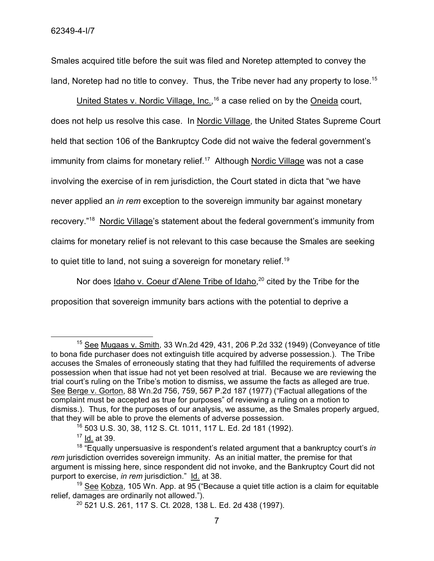Smales acquired title before the suit was filed and Noretep attempted to convey the land, Noretep had no title to convey. Thus, the Tribe never had any property to lose.<sup>15</sup>

United States v. Nordic Village, Inc.,<sup>16</sup> a case relied on by the Oneida court, does not help us resolve this case. In Nordic Village, the United States Supreme Court held that section 106 of the Bankruptcy Code did not waive the federal government's immunity from claims for monetary relief.<sup>17</sup> Although Nordic Village was not a case involving the exercise of in rem jurisdiction, the Court stated in dicta that "we have never applied an *in rem* exception to the sovereign immunity bar against monetary recovery."<sup>18</sup> Nordic Village's statement about the federal government's immunity from claims for monetary relief is not relevant to this case because the Smales are seeking to quiet title to land, not suing a sovereign for monetary relief.<sup>19</sup>

Nor does Idaho v. Coeur d'Alene Tribe of Idaho,<sup>20</sup> cited by the Tribe for the proposition that sovereign immunity bars actions with the potential to deprive a

 $15$  See Mugaas v. Smith, 33 Wn.2d 429, 431, 206 P.2d 332 (1949) (Conveyance of title to bona fide purchaser does not extinguish title acquired by adverse possession.). The Tribe accuses the Smales of erroneously stating that they had fulfilled the requirements of adverse possession when that issue had not yet been resolved at trial. Because we are reviewing the trial court's ruling on the Tribe's motion to dismiss, we assume the facts as alleged are true. See Berge v. Gorton, 88 Wn.2d 756, 759, 567 P.2d 187 (1977) ("Factual allegations of the complaint must be accepted as true for purposes" of reviewing a ruling on a motion to dismiss.). Thus, for the purposes of our analysis, we assume, as the Smales properly argued, that they will be able to prove the elements of adverse possession.

<sup>16</sup> 503 U.S. 30, 38, 112 S. Ct. 1011, 117 L. Ed. 2d 181 (1992).

 $17$  Id. at 39.

<sup>18</sup> "Equally unpersuasive is respondent's related argument that a bankruptcy court's *in rem* jurisdiction overrides sovereign immunity. As an initial matter, the premise for that argument is missing here, since respondent did not invoke, and the Bankruptcy Court did not purport to exercise, *in rem* jurisdiction." Id. at 38.

 $19$  See Kobza, 105 Wn. App. at 95 ("Because a quiet title action is a claim for equitable relief, damages are ordinarily not allowed.").

<sup>20</sup> 521 U.S. 261, 117 S. Ct. 2028, 138 L. Ed. 2d 438 (1997).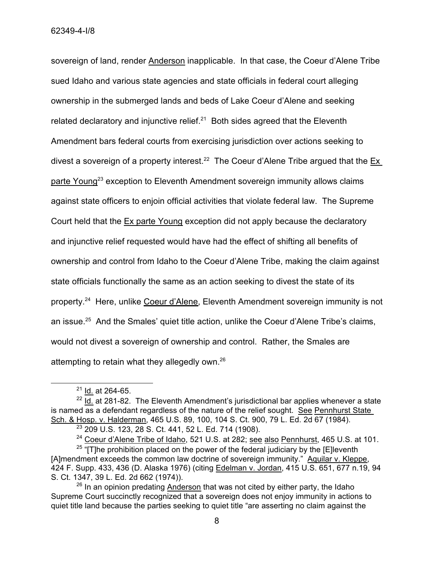sovereign of land, render Anderson inapplicable. In that case, the Coeur d'Alene Tribe sued Idaho and various state agencies and state officials in federal court alleging ownership in the submerged lands and beds of Lake Coeur d'Alene and seeking related declaratory and injunctive relief. $21$  Both sides agreed that the Eleventh Amendment bars federal courts from exercising jurisdiction over actions seeking to divest a sovereign of a property interest.<sup>22</sup> The Coeur d'Alene Tribe argued that the  $Ex$ parte Young<sup>23</sup> exception to Eleventh Amendment sovereign immunity allows claims against state officers to enjoin official activities that violate federal law. The Supreme Court held that the Ex parte Young exception did not apply because the declaratory and injunctive relief requested would have had the effect of shifting all benefits of ownership and control from Idaho to the Coeur d'Alene Tribe, making the claim against state officials functionally the same as an action seeking to divest the state of its property.<sup>24</sup> Here, unlike Coeur d'Alene, Eleventh Amendment sovereign immunity is not an issue.<sup>25</sup> And the Smales' quiet title action, unlike the Coeur d'Alene Tribe's claims, would not divest a sovereign of ownership and control. Rather, the Smales are attempting to retain what they allegedly own.<sup>26</sup>

 $21$  Id. at 264-65.

 $22$  Id. at 281-82. The Eleventh Amendment's jurisdictional bar applies whenever a state is named as a defendant regardless of the nature of the relief sought. See Pennhurst State Sch. & Hosp. v. Halderman, 465 U.S. 89, 100, 104 S. Ct. 900, 79 L. Ed. 2d 67 (1984).

<sup>23</sup> 209 U.S. 123, 28 S. Ct. 441, 52 L. Ed. 714 (1908).

<sup>&</sup>lt;sup>24</sup> Coeur d'Alene Tribe of Idaho, 521 U.S. at 282; see also Pennhurst, 465 U.S. at 101.

<sup>&</sup>lt;sup>25</sup> "[T]he prohibition placed on the power of the federal judiciary by the [E]leventh [A]mendment exceeds the common law doctrine of sovereign immunity." Aquilar v. Kleppe, 424 F. Supp. 433, 436 (D. Alaska 1976) (citing Edelman v. Jordan, 415 U.S. 651, 677 n.19, 94 S. Ct. 1347, 39 L. Ed. 2d 662 (1974)).

 $26$  In an opinion predating Anderson that was not cited by either party, the Idaho Supreme Court succinctly recognized that a sovereign does not enjoy immunity in actions to quiet title land because the parties seeking to quiet title "are asserting no claim against the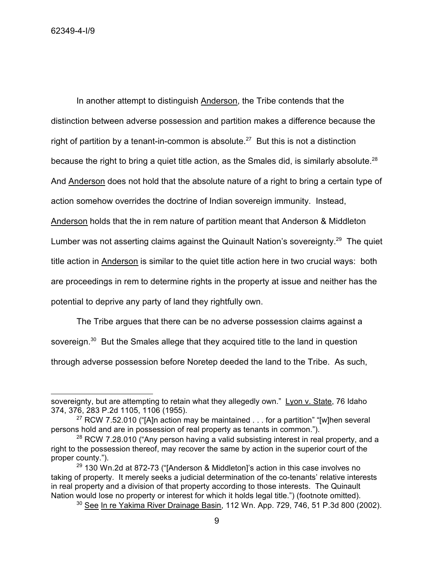In another attempt to distinguish Anderson, the Tribe contends that the distinction between adverse possession and partition makes a difference because the right of partition by a tenant-in-common is absolute.<sup>27</sup> But this is not a distinction because the right to bring a quiet title action, as the Smales did, is similarly absolute.<sup>28</sup> And Anderson does not hold that the absolute nature of a right to bring a certain type of action somehow overrides the doctrine of Indian sovereign immunity. Instead, Anderson holds that the in rem nature of partition meant that Anderson & Middleton Lumber was not asserting claims against the Quinault Nation's sovereignty.<sup>29</sup> The quiet title action in Anderson is similar to the quiet title action here in two crucial ways: both are proceedings in rem to determine rights in the property at issue and neither has the potential to deprive any party of land they rightfully own.

The Tribe argues that there can be no adverse possession claims against a sovereign.<sup>30</sup> But the Smales allege that they acquired title to the land in question through adverse possession before Noretep deeded the land to the Tribe. As such,

sovereignty, but are attempting to retain what they allegedly own." Lyon v. State, 76 Idaho 374, 376, 283 P.2d 1105, 1106 (1955).

<sup>&</sup>lt;sup>27</sup> RCW 7.52.010 ("[A]n action may be maintained  $\dots$  for a partition" "[w]hen several persons hold and are in possession of real property as tenants in common.").

 $28$  RCW 7.28.010 ("Any person having a valid subsisting interest in real property, and a right to the possession thereof, may recover the same by action in the superior court of the proper county.").

 $29$  130 Wn.2d at 872-73 ("[Anderson & Middleton]'s action in this case involves no taking of property. It merely seeks a judicial determination of the co-tenants' relative interests in real property and a division of that property according to those interests. The Quinault Nation would lose no property or interest for which it holds legal title.") (footnote omitted).

 $30$  See In re Yakima River Drainage Basin, 112 Wn. App. 729, 746, 51 P.3d 800 (2002).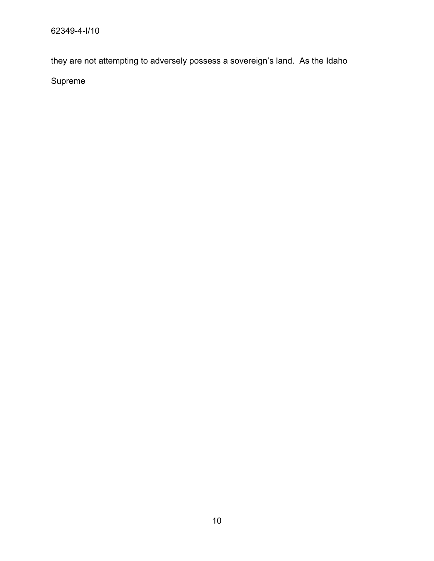they are not attempting to adversely possess a sovereign's land. As the Idaho

Supreme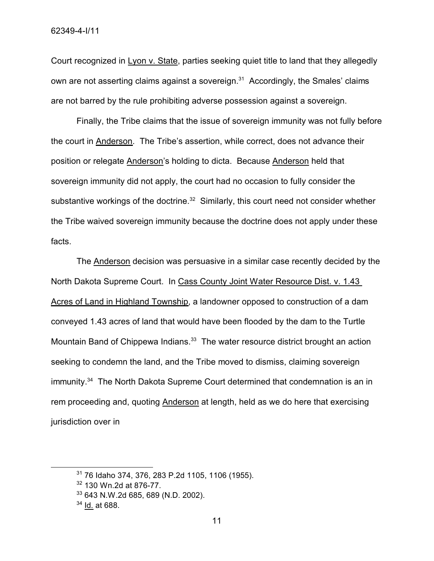Court recognized in Lyon v. State, parties seeking quiet title to land that they allegedly own are not asserting claims against a sovereign. $31$  Accordingly, the Smales' claims are not barred by the rule prohibiting adverse possession against a sovereign.

Finally, the Tribe claims that the issue of sovereign immunity was not fully before the court in Anderson. The Tribe's assertion, while correct, does not advance their position or relegate Anderson's holding to dicta. Because Anderson held that sovereign immunity did not apply, the court had no occasion to fully consider the substantive workings of the doctrine.<sup>32</sup> Similarly, this court need not consider whether the Tribe waived sovereign immunity because the doctrine does not apply under these facts.

The Anderson decision was persuasive in a similar case recently decided by the North Dakota Supreme Court. In Cass County Joint Water Resource Dist. v. 1.43 Acres of Land in Highland Township, a landowner opposed to construction of a dam conveyed 1.43 acres of land that would have been flooded by the dam to the Turtle Mountain Band of Chippewa Indians.<sup>33</sup> The water resource district brought an action seeking to condemn the land, and the Tribe moved to dismiss, claiming sovereign immunity.<sup>34</sup> The North Dakota Supreme Court determined that condemnation is an in rem proceeding and, quoting Anderson at length, held as we do here that exercising jurisdiction over in

<sup>31</sup> 76 Idaho 374, 376, 283 P.2d 1105, 1106 (1955).

<sup>32</sup> 130 Wn.2d at 876-77.

<sup>33</sup> 643 N.W.2d 685, 689 (N.D. 2002).

<sup>34</sup> Id. at 688.